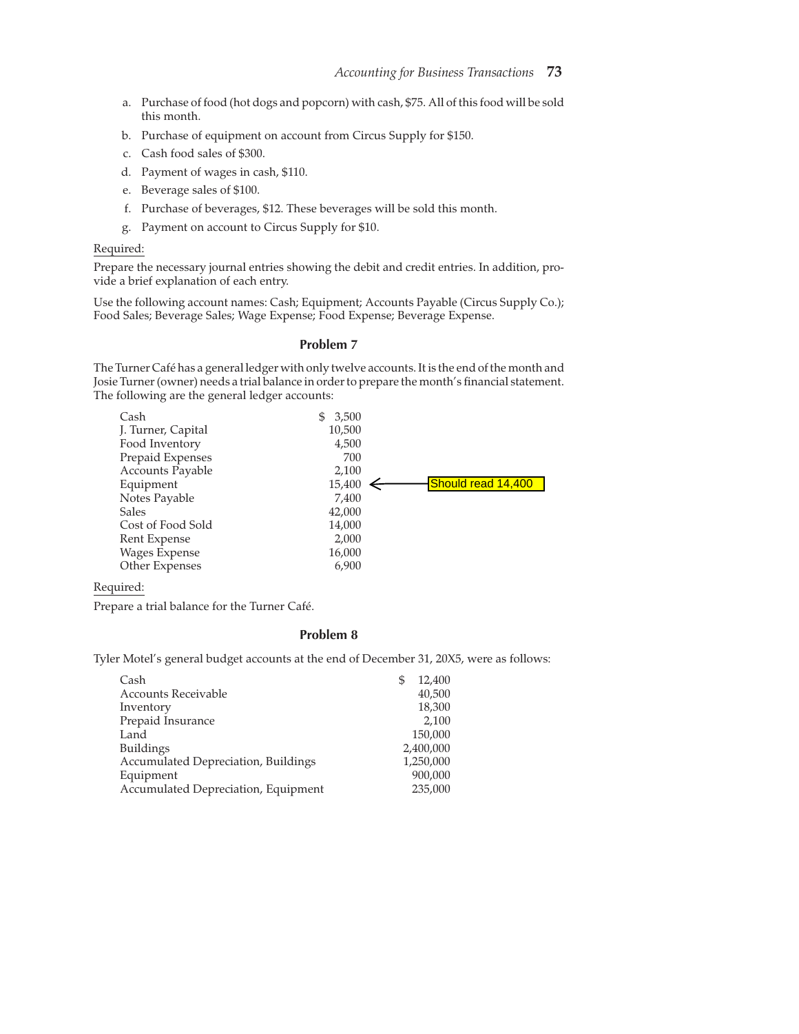- a. Purchase of food (hot dogs and popcorn) with cash, \$75. All of this food will be sold this month.
- b. Purchase of equipment on account from Circus Supply for \$150.
- c. Cash food sales of \$300.
- d. Payment of wages in cash, \$110.
- e. Beverage sales of \$100.
- f. Purchase of beverages, \$12. These beverages will be sold this month.
- g. Payment on account to Circus Supply for \$10.

#### Required:

Prepare the necessary journal entries showing the debit and credit entries. In addition, provide a brief explanation of each entry.

Use the following account names: Cash; Equipment; Accounts Payable (Circus Supply Co.); Food Sales; Beverage Sales; Wage Expense; Food Expense; Beverage Expense.

# Problem 7

The Turner Café has a general ledger with only twelve accounts. It is the end of the month and Josie Turner (owner) needs a trial balance in order to prepare the month's financial statement. The following are the general ledger accounts:

| Cash               | 3,500<br>S. |                    |
|--------------------|-------------|--------------------|
| J. Turner, Capital | 10,500      |                    |
| Food Inventory     | 4,500       |                    |
| Prepaid Expenses   | 700         |                    |
| Accounts Payable   | 2,100       |                    |
| Equipment          | 15,400      | Should read 14,400 |
| Notes Payable      | 7,400       |                    |
| <b>Sales</b>       | 42,000      |                    |
| Cost of Food Sold  | 14,000      |                    |
| Rent Expense       | 2,000       |                    |
| Wages Expense      | 16,000      |                    |
| Other Expenses     | 6,900       |                    |
|                    |             |                    |

Required:

Prepare a trial balance for the Turner Café.

## Problem 8

Tyler Motel's general budget accounts at the end of December 31, 20X5, were as follows:

| Cash                                | 12,400<br>S |
|-------------------------------------|-------------|
| <b>Accounts Receivable</b>          | 40,500      |
| Inventory                           | 18,300      |
| Prepaid Insurance                   | 2,100       |
| Land                                | 150,000     |
| <b>Buildings</b>                    | 2,400,000   |
| Accumulated Depreciation, Buildings | 1,250,000   |
| Equipment                           | 900,000     |
| Accumulated Depreciation, Equipment | 235,000     |